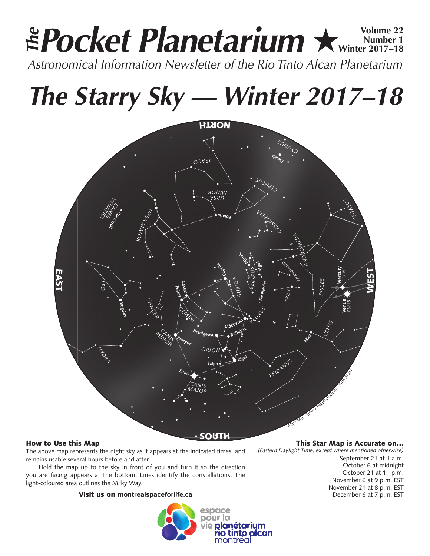# **Pocket Planetarium ★ Winter 2017-18 Number 1 Winter 2017–18** *Astronomical Information Newsletter of the Rio Tinto Alcan Planetarium The*

*The Starry Sky — Winter 2017–18*



# How to Use this Map

The above map represents the night sky as it appears at the indicated times, and remains usable several hours before and after.

Hold the map up to the sky in front of you and turn it so the direction you are facing appears at the bottom. Lines identify the constellations. The light-coloured area outlines the Milky Way.

# Visit us on **montrealspaceforlife.ca**



## This Star Map is Accurate on…

*(Eastern Daylight Time, except where mentioned otherwise)* September 21 at 1 a.m. October 6 at midnight October 21 at 11 p.m. November 6 at 9 p.m. EST November 21 at 8 p.m. EST December 6 at 7 p.m. EST